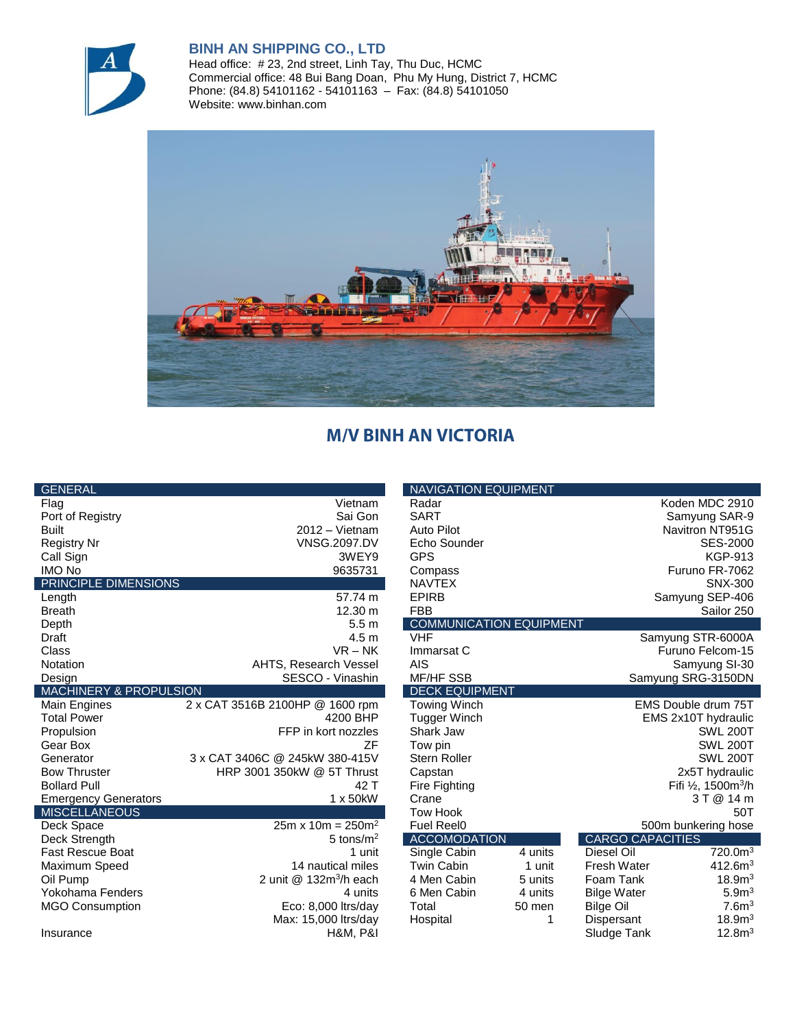

## **BINH AN SHIPPING CO., LTD**

Head office: # 23, 2nd street, Linh Tay, Thu Duc, HCMC Commercial office: 48 Bui Bang Doan, Phu My Hung, District 7, HCMC Phone: (84.8) 54101162 - 54101163 – Fax: (84.8) 54101050 Website: www.binhan.com



## **M/V BINH AN VICTORIA**

| <b>GENERAL</b>              |                                 | <b>NAVIGATION EQUIPMENT</b>    |                    |                                            |                     |  |
|-----------------------------|---------------------------------|--------------------------------|--------------------|--------------------------------------------|---------------------|--|
| Flag                        | Vietnam                         | Radar                          |                    |                                            | Koden MDC 2910      |  |
| Port of Registry            | Sai Gon                         | <b>SART</b>                    |                    | Samyung SAR-9                              |                     |  |
| <b>Built</b>                | $2012 - Vietnam$                | Auto Pilot                     |                    |                                            | Navitron NT951G     |  |
| <b>Registry Nr</b>          | <b>VNSG.2097.DV</b>             | Echo Sounder                   |                    |                                            | <b>SES-2000</b>     |  |
| Call Sign                   | 3WEY9                           | <b>GPS</b>                     |                    |                                            | <b>KGP-913</b>      |  |
| <b>IMO No</b>               | 9635731                         | Compass                        |                    |                                            | Furuno FR-7062      |  |
| PRINCIPLE DIMENSIONS        |                                 | <b>NAVTEX</b>                  |                    |                                            | <b>SNX-300</b>      |  |
| Length                      | $\overline{57.74}$ m            | <b>EPIRB</b>                   |                    |                                            | Samyung SEP-406     |  |
| <b>Breath</b>               | 12.30 m                         | <b>FBB</b>                     | Sailor 250         |                                            |                     |  |
| Depth                       | 5.5 <sub>m</sub>                | <b>COMMUNICATION EQUIPMENT</b> |                    |                                            |                     |  |
| Draft                       | 4.5 m                           | <b>VHF</b>                     |                    | Samyung STR-6000A                          |                     |  |
| Class                       | $VR - NK$                       | Immarsat C                     |                    | Furuno Felcom-15                           |                     |  |
| <b>Notation</b>             | <b>AHTS, Research Vessel</b>    | <b>AIS</b>                     |                    | Samyung SI-30                              |                     |  |
| Design                      | SESCO - Vinashin                | <b>MF/HF SSB</b>               | Samyung SRG-3150DN |                                            |                     |  |
| MACHINERY & PROPULSION      |                                 | <b>DECK EQUIPMENT</b>          |                    |                                            |                     |  |
| Main Engines                | 2 x CAT 3516B 2100HP @ 1600 rpm | Towing Winch                   |                    |                                            | EMS Double drum 75T |  |
| <b>Total Power</b>          | 4200 BHP                        | <b>Tugger Winch</b>            |                    |                                            | EMS 2x10T hydraulic |  |
| Propulsion                  | FFP in kort nozzles             | Shark Jaw                      |                    | <b>SWL 200T</b>                            |                     |  |
| Gear Box                    | ZF                              | Tow pin                        | <b>SWL 200T</b>    |                                            |                     |  |
| Generator                   | 3 x CAT 3406C @ 245kW 380-415V  | <b>Stern Roller</b>            |                    | <b>SWL 200T</b>                            |                     |  |
| <b>Bow Thruster</b>         | HRP 3001 350kW @ 5T Thrust      | Capstan                        |                    | 2x5T hydraulic                             |                     |  |
| <b>Bollard Pull</b>         | 42 T                            | Fire Fighting                  |                    | Fifi $\frac{1}{2}$ , 1500m <sup>3</sup> /h |                     |  |
| <b>Emergency Generators</b> | 1 x 50 kW                       | Crane                          |                    |                                            | 3 T @ 14 m          |  |
| <b>MISCELLANEOUS</b>        |                                 | <b>Tow Hook</b>                |                    |                                            | 50T                 |  |
| Deck Space                  | $25m \times 10m = 250m^2$       | <b>Fuel Reel0</b>              |                    |                                            | 500m bunkering hose |  |
| Deck Strength               | 5 tons/ $m2$                    | <b>ACCOMODATION</b>            |                    | <b>CARGO CAPACITIES</b>                    |                     |  |
| <b>Fast Rescue Boat</b>     | 1 unit                          | Single Cabin                   | 4 units            | Diesel Oil                                 | 720.0 <sup>1</sup>  |  |
| Maximum Speed               | 14 nautical miles               | <b>Twin Cabin</b>              | 1 unit             | <b>Fresh Water</b>                         | 412.6m <sup>3</sup> |  |
| Oil Pump                    | 2 unit $@$ 132 $m3/h$ each      | 4 Men Cabin                    | 5 units            | Foam Tank                                  | 18.9 <sup>3</sup>   |  |
| Yokohama Fenders            | 4 units                         | 6 Men Cabin                    | 4 units            | <b>Bilge Water</b>                         | 5.9 <sup>m3</sup>   |  |
| <b>MGO Consumption</b>      | Eco: 8,000 ltrs/day             | Total                          | 50 men             | Bilge Oil                                  | 7.6 <sup>m3</sup>   |  |
|                             | Max: 15,000 ltrs/day            | Hospital                       | 1                  | Dispersant                                 | 18.9 <sup>3</sup>   |  |
| Insurance                   | <b>H&amp;M, P&amp;I</b>         |                                |                    | Sludge Tank                                | 12.8m <sup>3</sup>  |  |

|                                  | <b>NAVIGATION EQUIPMENT</b>    |                  |                                 |                             |  |  |  |
|----------------------------------|--------------------------------|------------------|---------------------------------|-----------------------------|--|--|--|
| Vietnam                          | Radar                          | Koden MDC 2910   |                                 |                             |  |  |  |
| Sai Gon                          | <b>SART</b>                    |                  |                                 | Samyung SAR-9               |  |  |  |
| 2012 - Vietnam                   | <b>Auto Pilot</b>              |                  |                                 | Navitron NT951G             |  |  |  |
| <b>VNSG.2097.DV</b>              | Echo Sounder                   |                  |                                 | <b>SES-2000</b>             |  |  |  |
| 3WEY9                            | <b>GPS</b>                     |                  |                                 | <b>KGP-913</b>              |  |  |  |
| 9635731                          | Compass                        |                  |                                 | Furuno FR-7062              |  |  |  |
|                                  | <b>NAVTEX</b>                  |                  |                                 | <b>SNX-300</b>              |  |  |  |
| 57.74 m                          | <b>EPIRB</b>                   | Samyung SEP-406  |                                 |                             |  |  |  |
| 12.30 m                          | <b>FBB</b>                     |                  | Sailor 250                      |                             |  |  |  |
| 5.5 <sub>m</sub>                 | <b>COMMUNICATION EQUIPMENT</b> |                  |                                 |                             |  |  |  |
| 4.5 <sub>m</sub>                 | <b>VHF</b>                     |                  | Samyung STR-6000A               |                             |  |  |  |
| $VR - NK$                        | Immarsat C                     | Furuno Felcom-15 |                                 |                             |  |  |  |
| S, Research Vessel               | <b>AIS</b>                     | Samyung SI-30    |                                 |                             |  |  |  |
| SESCO - Vinashin                 | <b>MF/HF SSB</b>               |                  | Samyung SRG-3150DN              |                             |  |  |  |
|                                  | <b>DECK EQUIPMENT</b>          |                  |                                 |                             |  |  |  |
| 100HP @ 1600 rpm                 | Towing Winch                   |                  | EMS Double drum 75T             |                             |  |  |  |
| 4200 BHP                         | Tugger Winch                   |                  | EMS 2x10T hydraulic             |                             |  |  |  |
| FFP in kort nozzles              | Shark Jaw                      |                  | <b>SWL 200T</b>                 |                             |  |  |  |
| ZF                               | Tow pin                        |                  | <b>SWL 200T</b>                 |                             |  |  |  |
| @ 245kW 380-415V                 | <b>Stern Roller</b>            |                  | <b>SWL 200T</b>                 |                             |  |  |  |
| 350kW @ 5T Thrust                | Capstan                        |                  | 2x5T hydraulic                  |                             |  |  |  |
| 42 T                             | Fire Fighting                  |                  | Fifi 1/2, 1500m <sup>3</sup> /h |                             |  |  |  |
| 1 x 50kW                         | Crane                          |                  | 3 T @ 14 m                      |                             |  |  |  |
|                                  | <b>Tow Hook</b>                |                  |                                 | 50T                         |  |  |  |
| $25m \times 10m = 250m^2$        | <b>Fuel Reel0</b>              |                  | 500m bunkering hose             |                             |  |  |  |
| 5 tons/ $m2$                     | <b>ACCOMODATION</b>            |                  | <b>CARGO CAPACITIES</b>         |                             |  |  |  |
| 1 unit                           | Single Cabin                   | 4 units          | Diesel Oil                      | 720.0 <sup>m3</sup>         |  |  |  |
| 14 nautical miles                | <b>Twin Cabin</b>              | 1 unit           | <b>Fresh Water</b>              | 412.6 <sup>3</sup>          |  |  |  |
| unit @ 132m <sup>3</sup> /h each | 4 Men Cabin                    | 5 units          | Foam Tank                       | 18.9 <sup>m3</sup>          |  |  |  |
| 4 units                          | 6 Men Cabin                    | 4 units          | <b>Bilge Water</b>              | 5.9 <sup>m3</sup>           |  |  |  |
| Eco: 8,000 ltrs/day              | Total                          | 50 men           | <b>Bilge Oil</b>                | 7.6 <sup>m3</sup>           |  |  |  |
| Max: 15,000 ltrs/day             | Hospital                       | 1                | Dispersant                      | 18.9 <sup>3</sup>           |  |  |  |
| $\cdots$                         |                                |                  |                                 | $\sim$ $\sim$ $\sim$ $\sim$ |  |  |  |